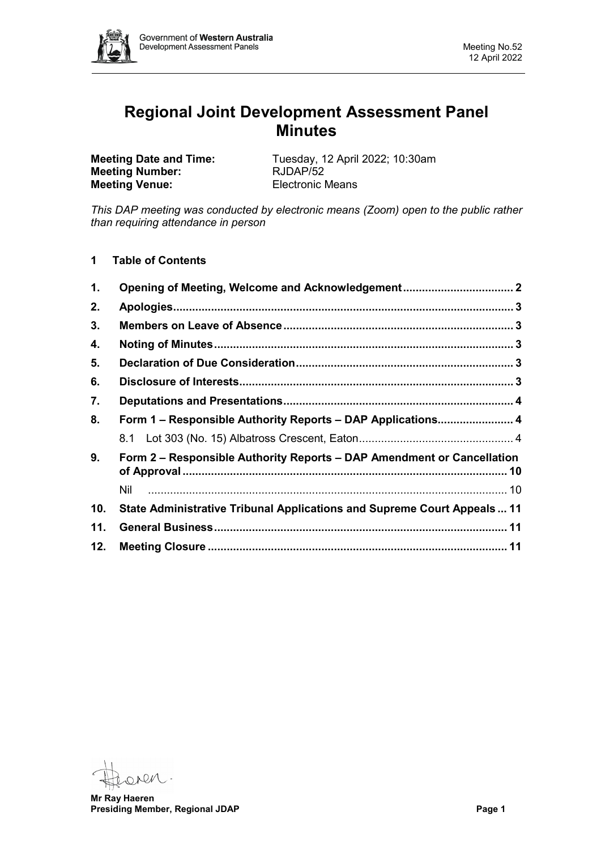

# **Regional Joint Development Assessment Panel Minutes**

**Meeting Number: Meeting Venue:** Electronic Means

**Meeting Date and Time:** Tuesday, 12 April 2022; 10:30am<br> **Meeting Number:** RJDAP/52

*This DAP meeting was conducted by electronic means (Zoom) open to the public rather than requiring attendance in person*

**1 Table of Contents**

| 1.  | Opening of Meeting, Welcome and Acknowledgement 2                        |  |  |  |
|-----|--------------------------------------------------------------------------|--|--|--|
| 2.  |                                                                          |  |  |  |
| 3.  |                                                                          |  |  |  |
| 4.  |                                                                          |  |  |  |
| 5.  |                                                                          |  |  |  |
| 6.  |                                                                          |  |  |  |
| 7.  |                                                                          |  |  |  |
| 8.  | Form 1 - Responsible Authority Reports - DAP Applications 4              |  |  |  |
|     |                                                                          |  |  |  |
| 9.  | Form 2 – Responsible Authority Reports – DAP Amendment or Cancellation   |  |  |  |
|     | Nil                                                                      |  |  |  |
| 10. | State Administrative Tribunal Applications and Supreme Court Appeals  11 |  |  |  |
| 11. |                                                                          |  |  |  |
| 12. |                                                                          |  |  |  |

**Mr Ray Haeren Presiding Member, Regional JDAP Page 1**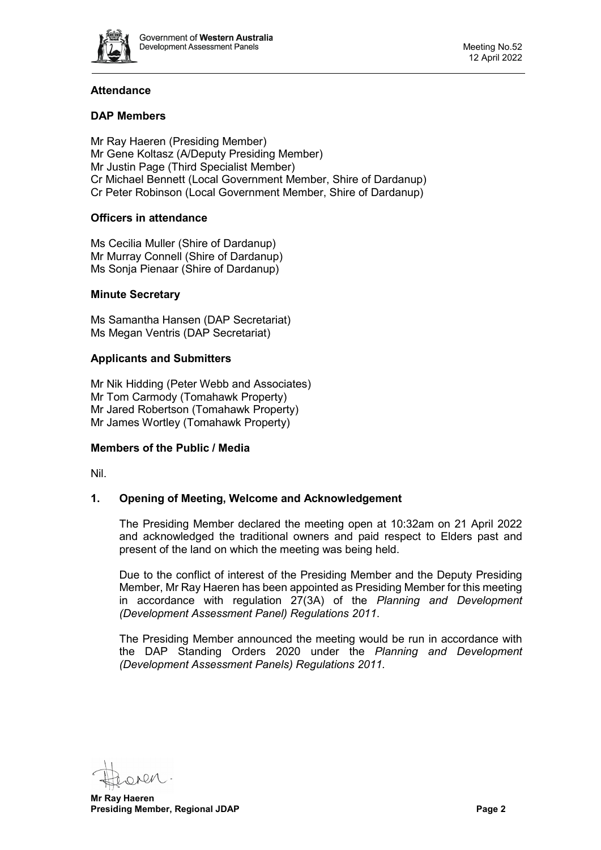

## **Attendance**

## **DAP Members**

Mr Ray Haeren (Presiding Member) Mr Gene Koltasz (A/Deputy Presiding Member) Mr Justin Page (Third Specialist Member) Cr Michael Bennett (Local Government Member, Shire of Dardanup) Cr Peter Robinson (Local Government Member, Shire of Dardanup)

## **Officers in attendance**

Ms Cecilia Muller (Shire of Dardanup) Mr Murray Connell (Shire of Dardanup) Ms Sonja Pienaar (Shire of Dardanup)

#### **Minute Secretary**

Ms Samantha Hansen (DAP Secretariat) Ms Megan Ventris (DAP Secretariat)

#### **Applicants and Submitters**

Mr Nik Hidding (Peter Webb and Associates) Mr Tom Carmody (Tomahawk Property) Mr Jared Robertson (Tomahawk Property) Mr James Wortley (Tomahawk Property)

#### **Members of the Public / Media**

<span id="page-1-0"></span>Nil.

## **1. Opening of Meeting, Welcome and Acknowledgement**

The Presiding Member declared the meeting open at 10:32am on 21 April 2022 and acknowledged the traditional owners and paid respect to Elders past and present of the land on which the meeting was being held.

Due to the conflict of interest of the Presiding Member and the Deputy Presiding Member, Mr Ray Haeren has been appointed as Presiding Member for this meeting in accordance with regulation 27(3A) of the *Planning and Development (Development Assessment Panel) Regulations 2011*.

The Presiding Member announced the meeting would be run in accordance with the DAP Standing Orders 2020 under the *Planning and Development (Development Assessment Panels) Regulations 2011.*

**Mr Ray Haeren Presiding Member, Regional JDAP Page 2 Page 2**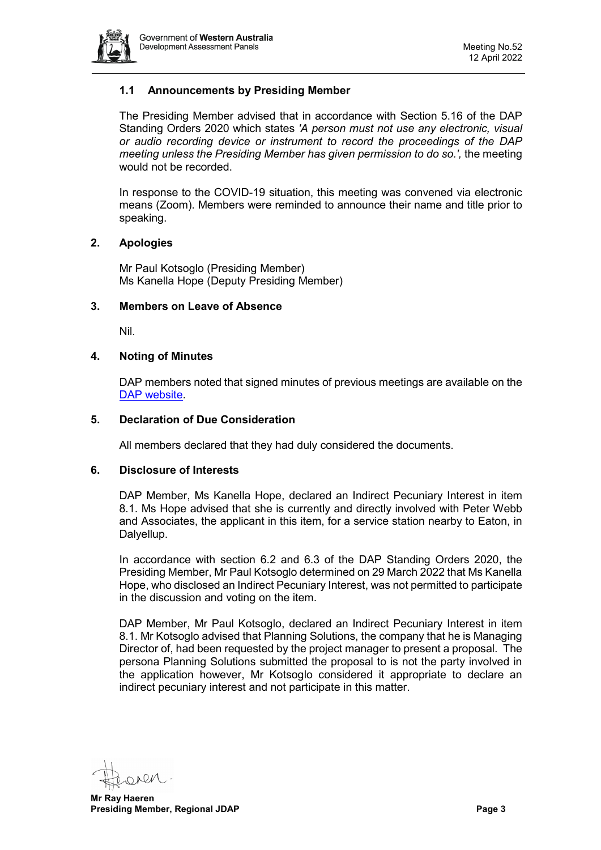

## **1.1 Announcements by Presiding Member**

The Presiding Member advised that in accordance with Section 5.16 of the DAP Standing Orders 2020 which states *'A person must not use any electronic, visual or audio recording device or instrument to record the proceedings of the DAP meeting unless the Presiding Member has given permission to do so.',* the meeting would not be recorded.

In response to the COVID-19 situation, this meeting was convened via electronic means (Zoom). Members were reminded to announce their name and title prior to speaking.

#### <span id="page-2-0"></span>**2. Apologies**

Mr Paul Kotsoglo (Presiding Member) Ms Kanella Hope (Deputy Presiding Member)

#### <span id="page-2-1"></span>**3. Members on Leave of Absence**

Nil.

#### <span id="page-2-2"></span>**4. Noting of Minutes**

DAP members noted that signed minutes of previous meetings are available on the [DAP website.](https://www.dplh.wa.gov.au/about/development-assessment-panels/daps-agendas-and-minutes)

#### <span id="page-2-3"></span>**5. Declaration of Due Consideration**

All members declared that they had duly considered the documents.

#### <span id="page-2-4"></span>**6. Disclosure of Interests**

DAP Member, Ms Kanella Hope, declared an Indirect Pecuniary Interest in item 8.1. Ms Hope advised that she is currently and directly involved with Peter Webb and Associates, the applicant in this item, for a service station nearby to Eaton, in Dalyellup.

In accordance with section 6.2 and 6.3 of the DAP Standing Orders 2020, the Presiding Member, Mr Paul Kotsoglo determined on 29 March 2022 that Ms Kanella Hope, who disclosed an Indirect Pecuniary Interest, was not permitted to participate in the discussion and voting on the item.

DAP Member, Mr Paul Kotsoglo, declared an Indirect Pecuniary Interest in item 8.1. Mr Kotsoglo advised that Planning Solutions, the company that he is Managing Director of, had been requested by the project manager to present a proposal. The persona Planning Solutions submitted the proposal to is not the party involved in the application however, Mr Kotsoglo considered it appropriate to declare an indirect pecuniary interest and not participate in this matter.

**Mr Ray Haeren Presiding Member, Regional JDAP Page 3 Page 3**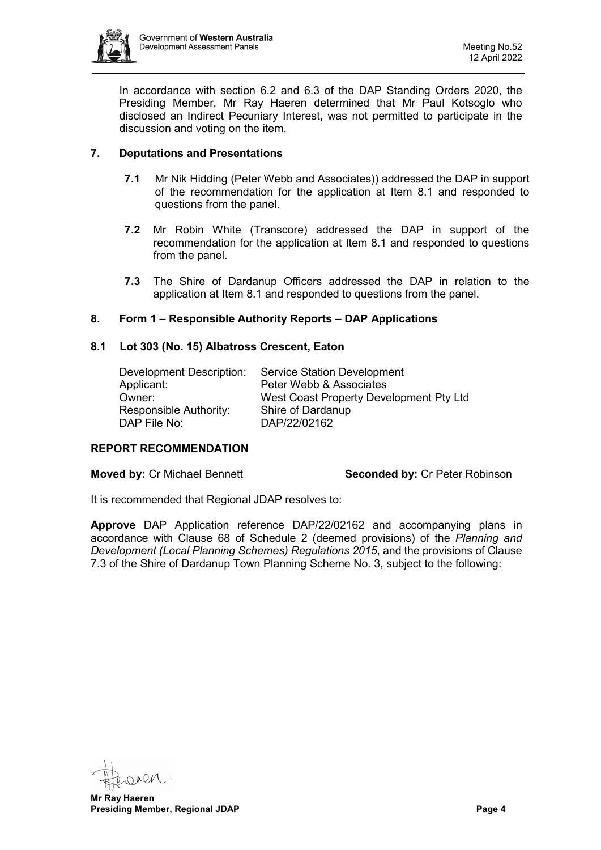

In accordance with section 6.2 and 6.3 of the DAP Standing Orders 2020, the Presiding Member, Mr Ray Haeren determined that Mr Paul Kotsoglo who disclosed an Indirect Pecuniary Interest, was not permitted to participate in the discussion and voting on the item.

## <span id="page-3-0"></span>**7. Deputations and Presentations**

- **7.1** Mr Nik Hidding (Peter Webb and Associates)) addressed the DAP in support of the recommendation for the application at Item 8.1 and responded to questions from the panel.
- **7.2** Mr Robin White (Transcore) addressed the DAP in support of the recommendation for the application at Item 8.1 and responded to questions from the panel.
- **7.3** The Shire of Dardanup Officers addressed the DAP in relation to the application at Item 8.1 and responded to questions from the panel.

## <span id="page-3-1"></span>**8. Form 1 – Responsible Authority Reports – DAP Applications**

#### <span id="page-3-2"></span>**8.1 Lot 303 (No. 15) Albatross Crescent, Eaton**

| Development Description: | <b>Service Station Development</b>      |
|--------------------------|-----------------------------------------|
| Applicant:               | Peter Webb & Associates                 |
| Owner:                   | West Coast Property Development Pty Ltd |
| Responsible Authority:   | Shire of Dardanup                       |
| DAP File No:             | DAP/22/02162                            |

#### **REPORT RECOMMENDATION**

**Moved by: Cr Michael Bennett Seconded by: Cr Peter Robinson** 

It is recommended that Regional JDAP resolves to:

**Approve** DAP Application reference DAP/22/02162 and accompanying plans in accordance with Clause 68 of Schedule 2 (deemed provisions) of the *Planning and Development (Local Planning Schemes) Regulations 2015*, and the provisions of Clause 7.3 of the Shire of Dardanup Town Planning Scheme No. 3, subject to the following:

**Mr Ray Haeren Presiding Member, Regional JDAP Page 4**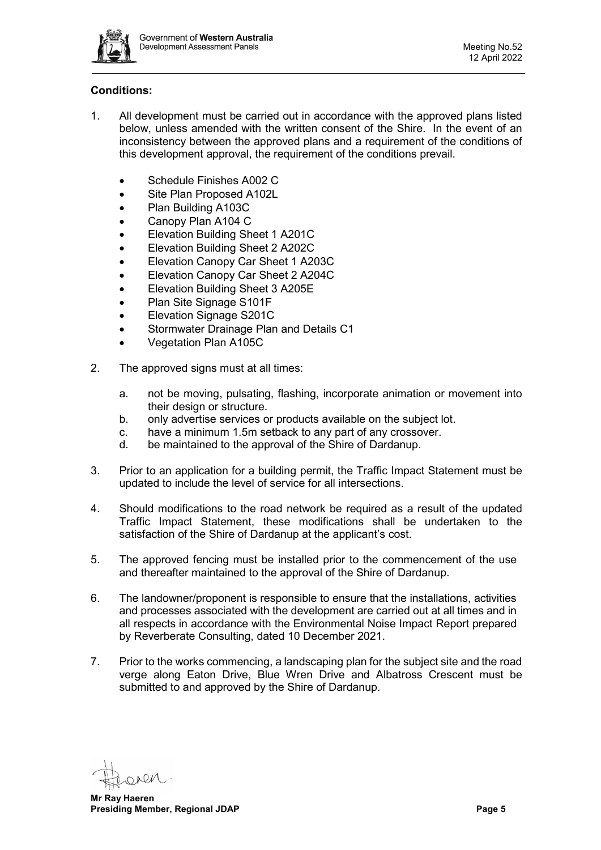

# **Conditions:**

- 1. All development must be carried out in accordance with the approved plans listed below, unless amended with the written consent of the Shire. In the event of an inconsistency between the approved plans and a requirement of the conditions of this development approval, the requirement of the conditions prevail.
	- Schedule Finishes A002 C
	- Site Plan Proposed A102L
	- Plan Building A103C
	- Canopy Plan A104 C
	- Elevation Building Sheet 1 A201C
	- Elevation Building Sheet 2 A202C
	- Elevation Canopy Car Sheet 1 A203C
	- Elevation Canopy Car Sheet 2 A204C
	- Elevation Building Sheet 3 A205E
	- Plan Site Signage S101F
	- Elevation Signage S201C
	- Stormwater Drainage Plan and Details C1
	- Vegetation Plan A105C
- 2. The approved signs must at all times:
	- a. not be moving, pulsating, flashing, incorporate animation or movement into their design or structure.
	- b. only advertise services or products available on the subject lot.
	- c. have a minimum 1.5m setback to any part of any crossover.
	- d. be maintained to the approval of the Shire of Dardanup.
- 3. Prior to an application for a building permit, the Traffic Impact Statement must be updated to include the level of service for all intersections.
- 4. Should modifications to the road network be required as a result of the updated Traffic Impact Statement, these modifications shall be undertaken to the satisfaction of the Shire of Dardanup at the applicant's cost.
- 5. The approved fencing must be installed prior to the commencement of the use and thereafter maintained to the approval of the Shire of Dardanup.
- 6. The landowner/proponent is responsible to ensure that the installations, activities and processes associated with the development are carried out at all times and in all respects in accordance with the Environmental Noise Impact Report prepared by Reverberate Consulting, dated 10 December 2021.
- 7. Prior to the works commencing, a landscaping plan for the subject site and the road verge along Eaton Drive, Blue Wren Drive and Albatross Crescent must be submitted to and approved by the Shire of Dardanup.

**Mr Ray Haeren Presiding Member, Regional JDAP Page 5 Page 5**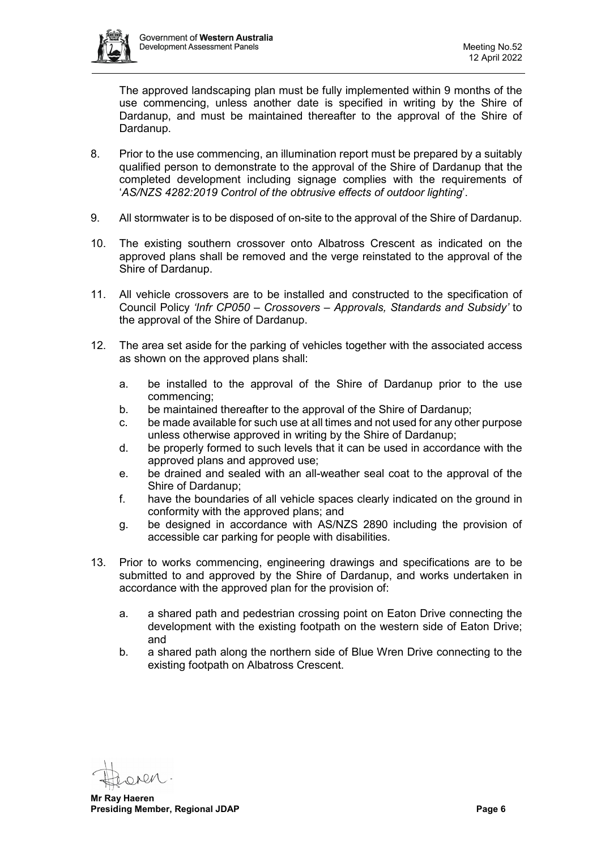

The approved landscaping plan must be fully implemented within 9 months of the use commencing, unless another date is specified in writing by the Shire of Dardanup, and must be maintained thereafter to the approval of the Shire of Dardanup.

- 8. Prior to the use commencing, an illumination report must be prepared by a suitably qualified person to demonstrate to the approval of the Shire of Dardanup that the completed development including signage complies with the requirements of '*AS/NZS 4282:2019 Control of the obtrusive effects of outdoor lighting*'.
- 9. All stormwater is to be disposed of on-site to the approval of the Shire of Dardanup.
- 10. The existing southern crossover onto Albatross Crescent as indicated on the approved plans shall be removed and the verge reinstated to the approval of the Shire of Dardanup.
- 11. All vehicle crossovers are to be installed and constructed to the specification of Council Policy *'Infr CP050 – Crossovers – Approvals, Standards and Subsidy'* to the approval of the Shire of Dardanup.
- 12. The area set aside for the parking of vehicles together with the associated access as shown on the approved plans shall:
	- a. be installed to the approval of the Shire of Dardanup prior to the use commencing;
	- b. be maintained thereafter to the approval of the Shire of Dardanup;
	- c. be made available for such use at all times and not used for any other purpose unless otherwise approved in writing by the Shire of Dardanup;
	- d. be properly formed to such levels that it can be used in accordance with the approved plans and approved use;
	- e. be drained and sealed with an all-weather seal coat to the approval of the Shire of Dardanup;
	- f. have the boundaries of all vehicle spaces clearly indicated on the ground in conformity with the approved plans; and
	- g. be designed in accordance with AS/NZS 2890 including the provision of accessible car parking for people with disabilities.
- 13. Prior to works commencing, engineering drawings and specifications are to be submitted to and approved by the Shire of Dardanup, and works undertaken in accordance with the approved plan for the provision of:
	- a. a shared path and pedestrian crossing point on Eaton Drive connecting the development with the existing footpath on the western side of Eaton Drive; and
	- b. a shared path along the northern side of Blue Wren Drive connecting to the existing footpath on Albatross Crescent.

**Mr Ray Haeren Presiding Member, Regional JDAP Page 6 Page 6 Page 6 Page 6 Page 6 Page 6 Page 6**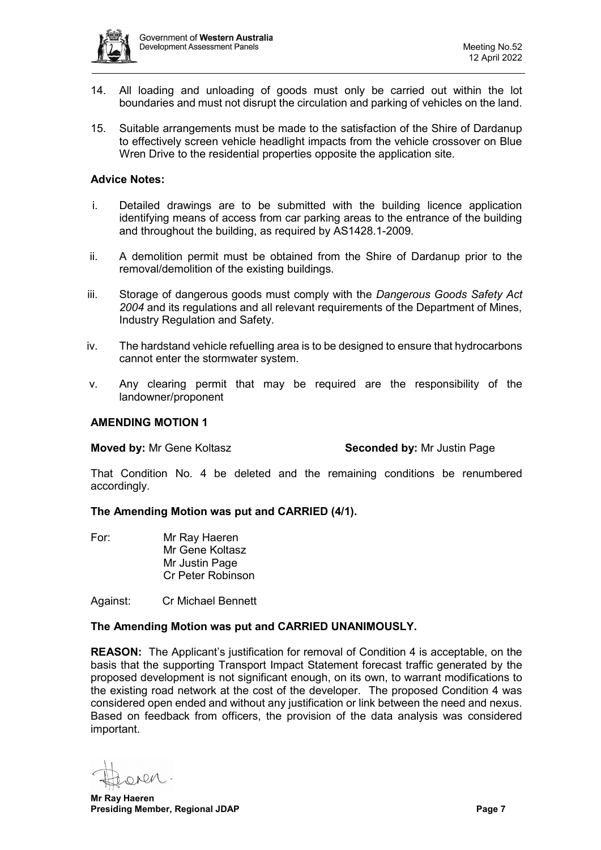

- 14. All loading and unloading of goods must only be carried out within the lot boundaries and must not disrupt the circulation and parking of vehicles on the land.
- 15. Suitable arrangements must be made to the satisfaction of the Shire of Dardanup to effectively screen vehicle headlight impacts from the vehicle crossover on Blue Wren Drive to the residential properties opposite the application site.

#### **Advice Notes:**

- i. Detailed drawings are to be submitted with the building licence application identifying means of access from car parking areas to the entrance of the building and throughout the building, as required by AS1428.1-2009.
- ii. A demolition permit must be obtained from the Shire of Dardanup prior to the removal/demolition of the existing buildings.
- iii. Storage of dangerous goods must comply with the *Dangerous Goods Safety Act 2004* and its regulations and all relevant requirements of the Department of Mines, Industry Regulation and Safety.
- iv. The hardstand vehicle refuelling area is to be designed to ensure that hydrocarbons cannot enter the stormwater system.
- v. Any clearing permit that may be required are the responsibility of the landowner/proponent

#### **AMENDING MOTION 1**

**Moved by:** Mr Gene Koltasz **Seconded by:** Mr Justin Page

That Condition No. 4 be deleted and the remaining conditions be renumbered accordingly.

#### **The Amending Motion was put and CARRIED (4/1).**

For: Mr Ray Haeren Mr Gene Koltasz Mr Justin Page Cr Peter Robinson

Against: Cr Michael Bennett

## **The Amending Motion was put and CARRIED UNANIMOUSLY.**

**REASON:** The Applicant's justification for removal of Condition 4 is acceptable, on the basis that the supporting Transport Impact Statement forecast traffic generated by the proposed development is not significant enough, on its own, to warrant modifications to the existing road network at the cost of the developer. The proposed Condition 4 was considered open ended and without any justification or link between the need and nexus. Based on feedback from officers, the provision of the data analysis was considered important.

OARN

**Mr Ray Haeren Presiding Member, Regional JDAP Page 7 Page 7 Page 7**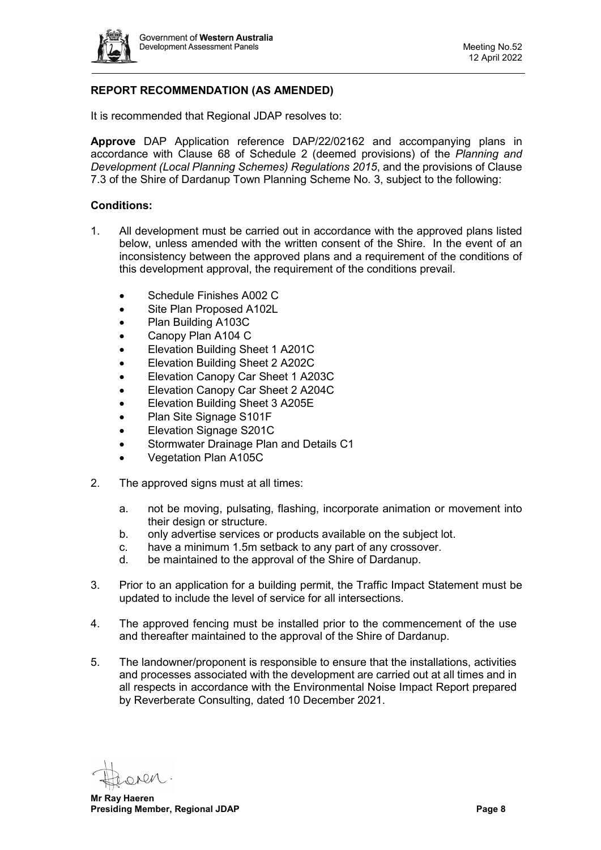

# **REPORT RECOMMENDATION (AS AMENDED)**

It is recommended that Regional JDAP resolves to:

**Approve** DAP Application reference DAP/22/02162 and accompanying plans in accordance with Clause 68 of Schedule 2 (deemed provisions) of the *Planning and Development (Local Planning Schemes) Regulations 2015*, and the provisions of Clause 7.3 of the Shire of Dardanup Town Planning Scheme No. 3, subject to the following:

#### **Conditions:**

- 1. All development must be carried out in accordance with the approved plans listed below, unless amended with the written consent of the Shire. In the event of an inconsistency between the approved plans and a requirement of the conditions of this development approval, the requirement of the conditions prevail.
	- Schedule Finishes A002 C
	- Site Plan Proposed A102L
	- Plan Building A103C
	- Canopy Plan A104 C
	- Elevation Building Sheet 1 A201C
	- Elevation Building Sheet 2 A202C
	- Elevation Canopy Car Sheet 1 A203C
	- Elevation Canopy Car Sheet 2 A204C
	- Elevation Building Sheet 3 A205E
	- Plan Site Signage S101F
	- Elevation Signage S201C
	- Stormwater Drainage Plan and Details C1
	- Vegetation Plan A105C
- 2. The approved signs must at all times:
	- a. not be moving, pulsating, flashing, incorporate animation or movement into their design or structure.
	- b. only advertise services or products available on the subject lot.
	- c. have a minimum 1.5m setback to any part of any crossover.
	- d. be maintained to the approval of the Shire of Dardanup.
- 3. Prior to an application for a building permit, the Traffic Impact Statement must be updated to include the level of service for all intersections.
- 4. The approved fencing must be installed prior to the commencement of the use and thereafter maintained to the approval of the Shire of Dardanup.
- 5. The landowner/proponent is responsible to ensure that the installations, activities and processes associated with the development are carried out at all times and in all respects in accordance with the Environmental Noise Impact Report prepared by Reverberate Consulting, dated 10 December 2021.

**Mr Ray Haeren Presiding Member, Regional JDAP Page 8 Page 8**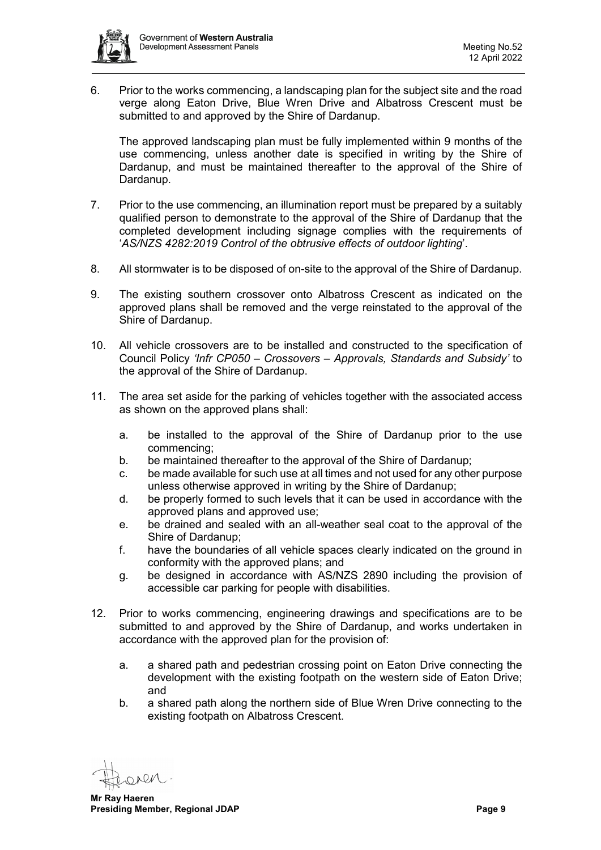

6. Prior to the works commencing, a landscaping plan for the subject site and the road verge along Eaton Drive, Blue Wren Drive and Albatross Crescent must be submitted to and approved by the Shire of Dardanup.

The approved landscaping plan must be fully implemented within 9 months of the use commencing, unless another date is specified in writing by the Shire of Dardanup, and must be maintained thereafter to the approval of the Shire of Dardanup.

- 7. Prior to the use commencing, an illumination report must be prepared by a suitably qualified person to demonstrate to the approval of the Shire of Dardanup that the completed development including signage complies with the requirements of '*AS/NZS 4282:2019 Control of the obtrusive effects of outdoor lighting*'.
- 8. All stormwater is to be disposed of on-site to the approval of the Shire of Dardanup.
- 9. The existing southern crossover onto Albatross Crescent as indicated on the approved plans shall be removed and the verge reinstated to the approval of the Shire of Dardanup.
- 10. All vehicle crossovers are to be installed and constructed to the specification of Council Policy *'Infr CP050 – Crossovers – Approvals, Standards and Subsidy'* to the approval of the Shire of Dardanup.
- 11. The area set aside for the parking of vehicles together with the associated access as shown on the approved plans shall:
	- a. be installed to the approval of the Shire of Dardanup prior to the use commencing;
	- b. be maintained thereafter to the approval of the Shire of Dardanup;
	- c. be made available for such use at all times and not used for any other purpose unless otherwise approved in writing by the Shire of Dardanup;
	- d. be properly formed to such levels that it can be used in accordance with the approved plans and approved use;
	- e. be drained and sealed with an all-weather seal coat to the approval of the Shire of Dardanup;
	- f. have the boundaries of all vehicle spaces clearly indicated on the ground in conformity with the approved plans; and
	- g. be designed in accordance with AS/NZS 2890 including the provision of accessible car parking for people with disabilities.
- 12. Prior to works commencing, engineering drawings and specifications are to be submitted to and approved by the Shire of Dardanup, and works undertaken in accordance with the approved plan for the provision of:
	- a. a shared path and pedestrian crossing point on Eaton Drive connecting the development with the existing footpath on the western side of Eaton Drive; and
	- b. a shared path along the northern side of Blue Wren Drive connecting to the existing footpath on Albatross Crescent.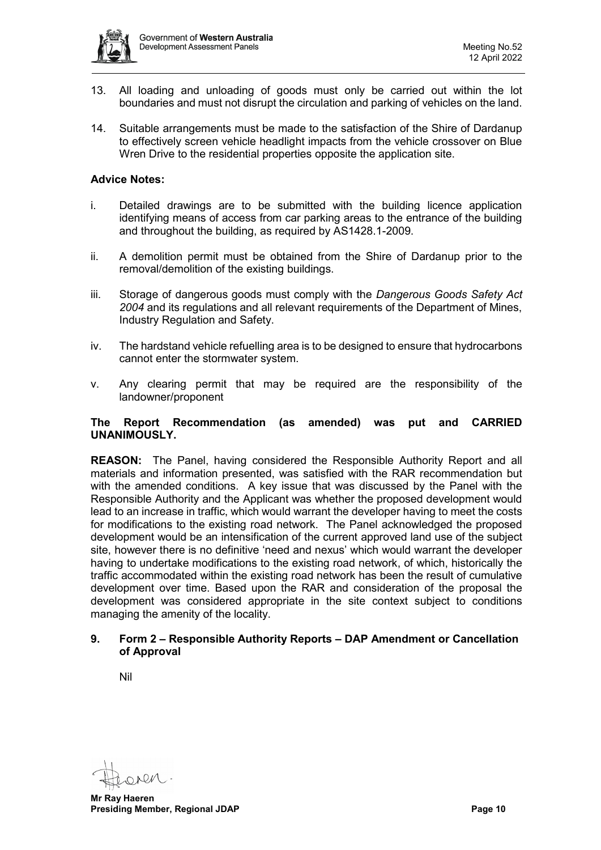

- 13. All loading and unloading of goods must only be carried out within the lot boundaries and must not disrupt the circulation and parking of vehicles on the land.
- 14. Suitable arrangements must be made to the satisfaction of the Shire of Dardanup to effectively screen vehicle headlight impacts from the vehicle crossover on Blue Wren Drive to the residential properties opposite the application site.

#### **Advice Notes:**

- i. Detailed drawings are to be submitted with the building licence application identifying means of access from car parking areas to the entrance of the building and throughout the building, as required by AS1428.1-2009.
- ii. A demolition permit must be obtained from the Shire of Dardanup prior to the removal/demolition of the existing buildings.
- iii. Storage of dangerous goods must comply with the *Dangerous Goods Safety Act 2004* and its regulations and all relevant requirements of the Department of Mines, Industry Regulation and Safety.
- iv. The hardstand vehicle refuelling area is to be designed to ensure that hydrocarbons cannot enter the stormwater system.
- v. Any clearing permit that may be required are the responsibility of the landowner/proponent

#### **The Report Recommendation (as amended) was put and CARRIED UNANIMOUSLY.**

**REASON:** The Panel, having considered the Responsible Authority Report and all materials and information presented, was satisfied with the RAR recommendation but with the amended conditions. A key issue that was discussed by the Panel with the Responsible Authority and the Applicant was whether the proposed development would lead to an increase in traffic, which would warrant the developer having to meet the costs for modifications to the existing road network. The Panel acknowledged the proposed development would be an intensification of the current approved land use of the subject site, however there is no definitive 'need and nexus' which would warrant the developer having to undertake modifications to the existing road network, of which, historically the traffic accommodated within the existing road network has been the result of cumulative development over time. Based upon the RAR and consideration of the proposal the development was considered appropriate in the site context subject to conditions managing the amenity of the locality.

#### <span id="page-9-0"></span>**9. Form 2 – Responsible Authority Reports – DAP Amendment or Cancellation of Approval**

<span id="page-9-1"></span>Nil

**Mr Ray Haeren Presiding Member, Regional JDAP Page 10**